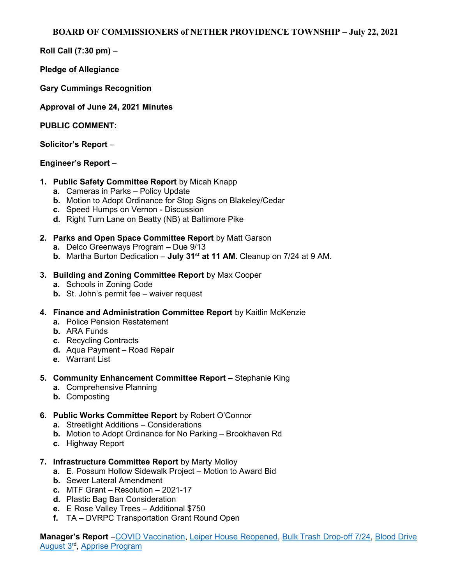Roll Call (7:30 pm) –

Pledge of Allegiance

Gary Cummings Recognition

Approval of June 24, 2021 Minutes

PUBLIC COMMENT:

Solicitor's Report –

## Engineer's Report –

- 1. Public Safety Committee Report by Micah Knapp
	- a. Cameras in Parks Policy Update
	- b. Motion to Adopt Ordinance for Stop Signs on Blakeley/Cedar
	- c. Speed Humps on Vernon Discussion
	- d. Right Turn Lane on Beatty (NB) at Baltimore Pike
- 2. Parks and Open Space Committee Report by Matt Garson
	- a. Delco Greenways Program Due 9/13
	- b. Martha Burton Dedication  $-$  July 31<sup>st</sup> at 11 AM. Cleanup on 7/24 at 9 AM.
- 3. Building and Zoning Committee Report by Max Cooper
	- a. Schools in Zoning Code
	- b. St. John's permit fee waiver request
- 4. Finance and Administration Committee Report by Kaitlin McKenzie
	- a. Police Pension Restatement
	- b. ARA Funds
	- c. Recycling Contracts
	- d. Aqua Payment Road Repair
	- e. Warrant List
- 5. Community Enhancement Committee Report Stephanie King
	- a. Comprehensive Planning
	- b. Composting
- 6. Public Works Committee Report by Robert O'Connor
	- a. Streetlight Additions Considerations
	- b. Motion to Adopt Ordinance for No Parking Brookhaven Rd
	- c. Highway Report
- 7. Infrastructure Committee Report by Marty Molloy
	- a. E. Possum Hollow Sidewalk Project Motion to Award Bid
	- b. Sewer Lateral Amendment
	- c. MTF Grant Resolution 2021-17
	- d. Plastic Bag Ban Consideration
	- e. E Rose Valley Trees Additional \$750
	- f. TA DVRPC Transportation Grant Round Open

Manager's Report – COVID Vaccination, Leiper House Reopened, Bulk Trash Drop-off 7/24, Blood Drive August 3<sup>rd</sup>, Apprise Program